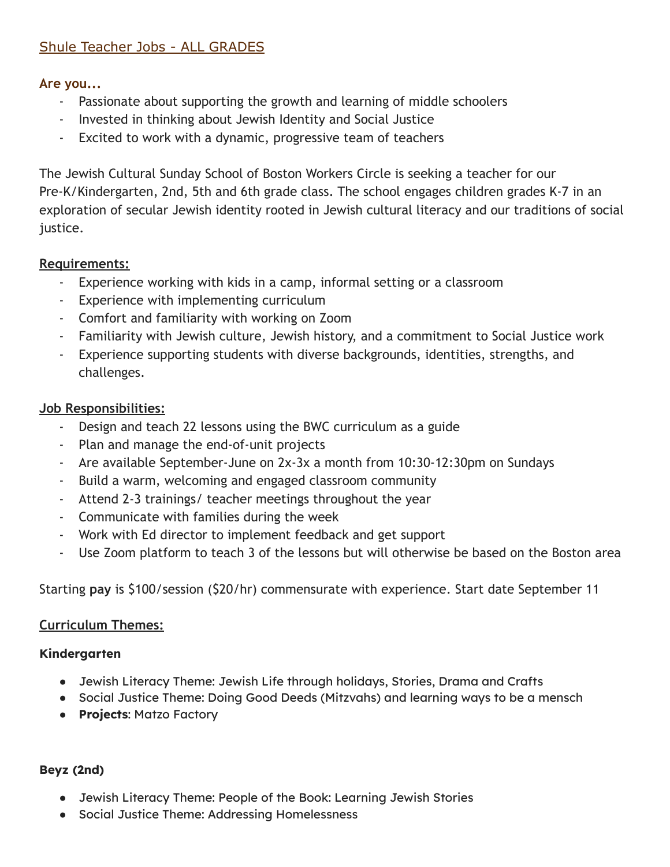# Shule Teacher Jobs - ALL GRADES

#### **Are you...**

- Passionate about supporting the growth and learning of middle schoolers
- Invested in thinking about Jewish Identity and Social Justice
- Excited to work with a dynamic, progressive team of teachers

The Jewish Cultural Sunday School of Boston Workers Circle is seeking a teacher for our Pre-K/Kindergarten, 2nd, 5th and 6th grade class. The school engages children grades K-7 in an exploration of secular Jewish identity rooted in Jewish cultural literacy and our traditions of social justice.

## **Requirements:**

- Experience working with kids in a camp, informal setting or a classroom
- Experience with implementing curriculum
- Comfort and familiarity with working on Zoom
- Familiarity with Jewish culture, Jewish history, and a commitment to Social Justice work
- Experience supporting students with diverse backgrounds, identities, strengths, and challenges.

## **Job Responsibilities:**

- Design and teach 22 lessons using the BWC curriculum as a guide
- Plan and manage the end-of-unit projects
- Are available September-June on 2x-3x a month from 10:30-12:30pm on Sundays
- Build a warm, welcoming and engaged classroom community
- Attend 2-3 trainings/ teacher meetings throughout the year
- Communicate with families during the week
- Work with Ed director to implement feedback and get support
- Use Zoom platform to teach 3 of the lessons but will otherwise be based on the Boston area

Starting **pay** is \$100/session (\$20/hr) commensurate with experience. Start date September 11

#### **Curriculum Themes:**

#### **Kindergarten**

- Jewish Literacy Theme: Jewish Life through holidays, Stories, Drama and Crafts
- Social Justice Theme: Doing Good Deeds (Mitzvahs) and learning ways to be a mensch
- **Projects**: Matzo Factory

#### **Beyz (2nd)**

- Jewish Literacy Theme: People of the Book: Learning Jewish Stories
- Social Justice Theme: Addressing Homelessness